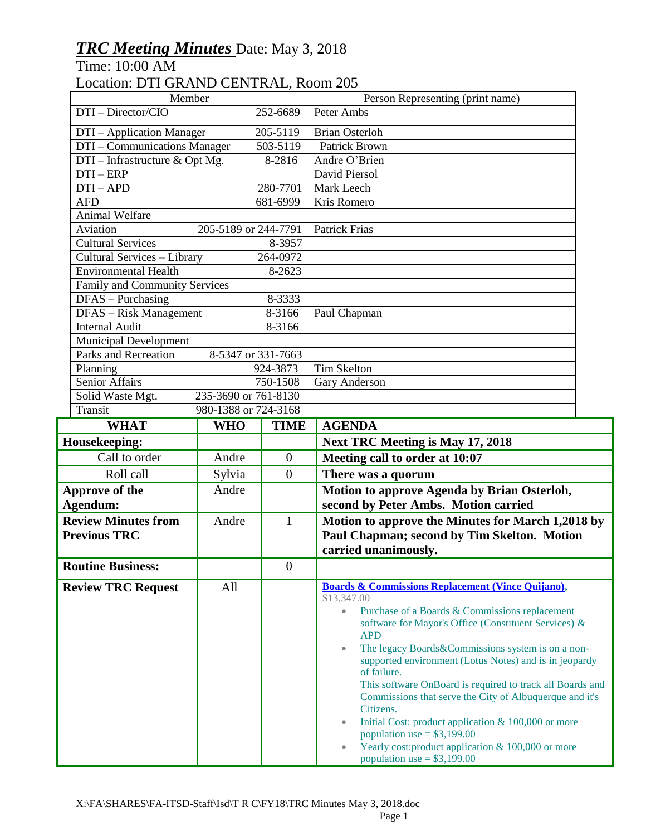## *TRC Meeting Minutes* Date: May 3, 2018

Time: 10:00 AM

## Location: DTI GRAND CENTRAL, Room 205

| Member                                                                           |                      |                  | Person Representing (print name)                                                                 |
|----------------------------------------------------------------------------------|----------------------|------------------|--------------------------------------------------------------------------------------------------|
| DTI-Director/CIO<br>252-6689                                                     |                      |                  | Peter Ambs                                                                                       |
| DTI - Application Manager                                                        |                      | 205-5119         | <b>Brian Osterloh</b>                                                                            |
| DTI – Communications Manager                                                     |                      | 503-5119         | <b>Patrick Brown</b>                                                                             |
| $DTI$ – Infrastructure & Opt Mg.<br>8-2816                                       |                      |                  | Andre O'Brien                                                                                    |
| $DTI - ERP$                                                                      |                      |                  | David Piersol                                                                                    |
| $DTI-APD$<br>280-7701                                                            |                      |                  | Mark Leech                                                                                       |
| <b>AFD</b><br>681-6999                                                           |                      |                  | Kris Romero                                                                                      |
| Animal Welfare                                                                   |                      |                  |                                                                                                  |
| Aviation<br>205-5189 or 244-7791                                                 |                      |                  | <b>Patrick Frias</b>                                                                             |
| <b>Cultural Services</b><br>8-3957                                               |                      |                  |                                                                                                  |
| Cultural Services - Library<br>264-0972<br><b>Environmental Health</b><br>8-2623 |                      |                  |                                                                                                  |
| Family and Community Services                                                    |                      |                  |                                                                                                  |
| DFAS - Purchasing<br>8-3333                                                      |                      |                  |                                                                                                  |
| DFAS - Risk Management<br>8-3166                                                 |                      |                  | Paul Chapman                                                                                     |
| <b>Internal Audit</b><br>8-3166                                                  |                      |                  |                                                                                                  |
| Municipal Development                                                            |                      |                  |                                                                                                  |
| Parks and Recreation<br>8-5347 or 331-7663                                       |                      |                  |                                                                                                  |
| Planning<br>924-3873                                                             |                      |                  | <b>Tim Skelton</b>                                                                               |
| <b>Senior Affairs</b><br>750-1508                                                |                      |                  | Gary Anderson                                                                                    |
| 235-3690 or 761-8130<br>Solid Waste Mgt.                                         |                      |                  |                                                                                                  |
| Transit                                                                          | 980-1388 or 724-3168 |                  |                                                                                                  |
| <b>WHAT</b>                                                                      | <b>WHO</b>           | <b>TIME</b>      | <b>AGENDA</b>                                                                                    |
| Housekeeping:                                                                    |                      |                  | <b>Next TRC Meeting is May 17, 2018</b>                                                          |
| Call to order                                                                    | Andre                | $\overline{0}$   | Meeting call to order at 10:07                                                                   |
| Roll call                                                                        | Sylvia               | $\overline{0}$   | There was a quorum                                                                               |
| Approve of the                                                                   | Andre                |                  | Motion to approve Agenda by Brian Osterloh,                                                      |
| Agendum:                                                                         |                      |                  | second by Peter Ambs. Motion carried                                                             |
| <b>Review Minutes from</b>                                                       | Andre                | $\mathbf{1}$     | Motion to approve the Minutes for March 1,2018 by                                                |
| <b>Previous TRC</b>                                                              |                      |                  | Paul Chapman; second by Tim Skelton. Motion                                                      |
|                                                                                  |                      |                  | carried unanimously.                                                                             |
| <b>Routine Business:</b>                                                         |                      | $\boldsymbol{0}$ |                                                                                                  |
| <b>Review TRC Request</b>                                                        | All                  |                  | <b>Boards &amp; Commissions Replacement (Vince Quijano),</b><br>\$13,347.00                      |
|                                                                                  |                      |                  | Purchase of a Boards & Commissions replacement<br>$\bullet$                                      |
|                                                                                  |                      |                  | software for Mayor's Office (Constituent Services) &                                             |
|                                                                                  |                      |                  | <b>APD</b>                                                                                       |
|                                                                                  |                      |                  | The legacy Boards&Commissions system is on a non-<br>$\bullet$                                   |
|                                                                                  |                      |                  | supported environment (Lotus Notes) and is in jeopardy<br>of failure.                            |
|                                                                                  |                      |                  | This software OnBoard is required to track all Boards and                                        |
|                                                                                  |                      |                  | Commissions that serve the City of Albuquerque and it's                                          |
|                                                                                  |                      |                  | Citizens.                                                                                        |
|                                                                                  |                      |                  | Initial Cost: product application & 100,000 or more<br>$\bullet$<br>population use = $$3,199.00$ |
|                                                                                  |                      |                  | Yearly cost: product application & 100,000 or more                                               |
|                                                                                  |                      |                  | population use = $$3,199.00$                                                                     |